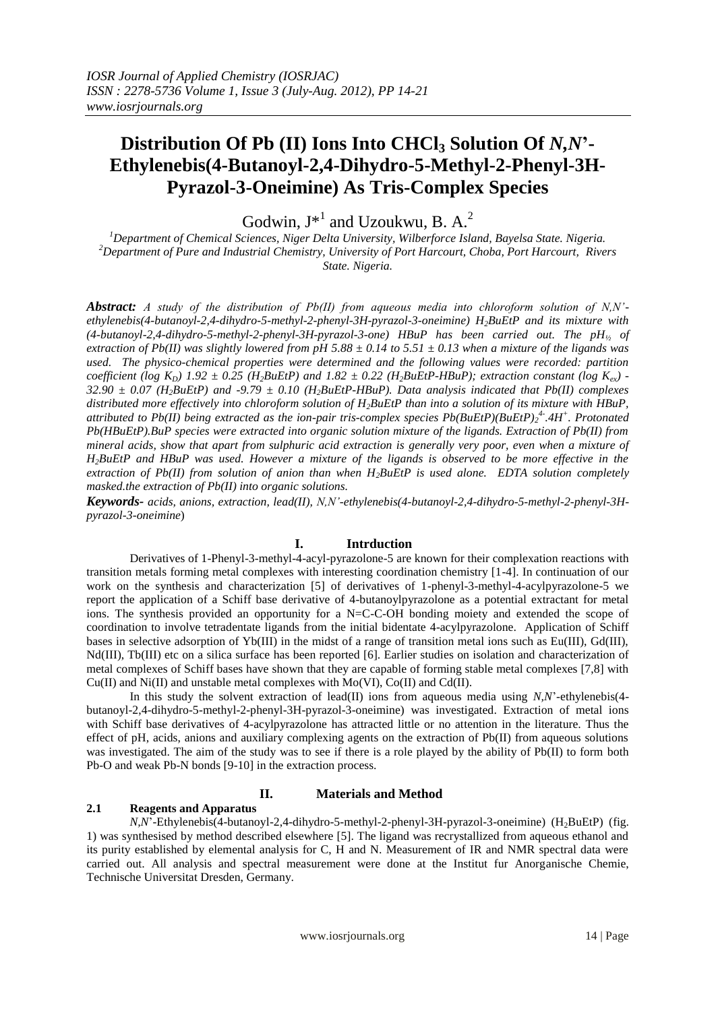# **Distribution Of Pb (II) Ions Into CHCl<sup>3</sup> Solution Of** *N,N***'- Ethylenebis(4-Butanoyl-2,4-Dihydro-5-Methyl-2-Phenyl-3H-Pyrazol-3-Oneimine) As Tris-Complex Species**

Godwin,  $J^*$ <sup>1</sup> and Uzoukwu, B. A.<sup>2</sup>

*<sup>1</sup>Department of Chemical Sciences, Niger Delta University, Wilberforce Island, Bayelsa State. Nigeria. <sup>2</sup>Department of Pure and Industrial Chemistry, University of Port Harcourt, Choba, Port Harcourt, Rivers State. Nigeria.*

*Abstract: A study of the distribution of Pb(II) from aqueous media into chloroform solution of N,N' ethylenebis(4-butanoyl-2,4-dihydro-5-methyl-2-phenyl-3H-pyrazol-3-oneimine) H2BuEtP and its mixture with (4-butanoyl-2,4-dihydro-5-methyl-2-phenyl-3H-pyrazol-3-one) HBuP has been carried out. The pH<sup>½</sup> of extraction of Pb(II) was slightly lowered from pH 5.88 ± 0.14 to 5.51 ± 0.13 when a mixture of the ligands was used. The physico-chemical properties were determined and the following values were recorded: partition coefficient* (log  $K_D$ ) 1.92  $\pm$  0.25 (H<sub>2</sub>BuEtP) and 1.82  $\pm$  0.22 (H<sub>2</sub>BuEtP-HBuP); extraction constant (log  $K_{ev}$ ) -*32.90 ± 0.07 (H2BuEtP) and -9.79 ± 0.10 (H2BuEtP-HBuP). Data analysis indicated that Pb(II) complexes distributed more effectively into chloroform solution of H2BuEtP than into a solution of its mixture with HBuP, attributed to Pb(II) being extracted as the ion-pair tris-complex species Pb(BuEtP)(BuEtP)<sup>2</sup> 4- .4H<sup>+</sup> . Protonated Pb(HBuEtP).BuP species were extracted into organic solution mixture of the ligands. Extraction of Pb(II) from mineral acids, show that apart from sulphuric acid extraction is generally very poor, even when a mixture of H2BuEtP and HBuP was used. However a mixture of the ligands is observed to be more effective in the extraction of Pb(II) from solution of anion than when H2BuEtP is used alone. EDTA solution completely masked.the extraction of Pb(II) into organic solutions.*

*Keywords- acids, anions, extraction, lead(II), N,N'-ethylenebis(4-butanoyl-2,4-dihydro-5-methyl-2-phenyl-3Hpyrazol-3-oneimine*)

# **I. Intrduction**

Derivatives of 1-Phenyl-3-methyl-4-acyl-pyrazolone-5 are known for their complexation reactions with transition metals forming metal complexes with interesting coordination chemistry [1-4]. In continuation of our work on the synthesis and characterization [5] of derivatives of 1-phenyl-3-methyl-4-acylpyrazolone-5 we report the application of a Schiff base derivative of 4-butanoylpyrazolone as a potential extractant for metal ions. The synthesis provided an opportunity for a N=C-C-OH bonding moiety and extended the scope of coordination to involve tetradentate ligands from the initial bidentate 4-acylpyrazolone. Application of Schiff bases in selective adsorption of Yb(III) in the midst of a range of transition metal ions such as Eu(III), Gd(III), Nd(III), Tb(III) etc on a silica surface has been reported [6]. Earlier studies on isolation and characterization of metal complexes of Schiff bases have shown that they are capable of forming stable metal complexes [7,8] with Cu(II) and Ni(II) and unstable metal complexes with Mo(VI), Co(II) and Cd(II).

In this study the solvent extraction of lead(II) ions from aqueous media using *N,N*"-ethylenebis(4 butanoyl-2,4-dihydro-5-methyl-2-phenyl-3H-pyrazol-3-oneimine) was investigated. Extraction of metal ions with Schiff base derivatives of 4-acylpyrazolone has attracted little or no attention in the literature. Thus the effect of pH, acids, anions and auxiliary complexing agents on the extraction of Pb(II) from aqueous solutions was investigated. The aim of the study was to see if there is a role played by the ability of Pb(II) to form both Pb-O and weak Pb-N bonds [9-10] in the extraction process.

# **II. Materials and Method**

### **2.1 Reagents and Apparatus**

*N,N*"-Ethylenebis(4-butanoyl-2,4-dihydro-5-methyl-2-phenyl-3H-pyrazol-3-oneimine) (H<sub>2</sub>BuEtP) (fig. 1) was synthesised by method described elsewhere [5]. The ligand was recrystallized from aqueous ethanol and its purity established by elemental analysis for C, H and N. Measurement of IR and NMR spectral data were carried out. All analysis and spectral measurement were done at the Institut fur Anorganische Chemie, Technische Universitat Dresden, Germany.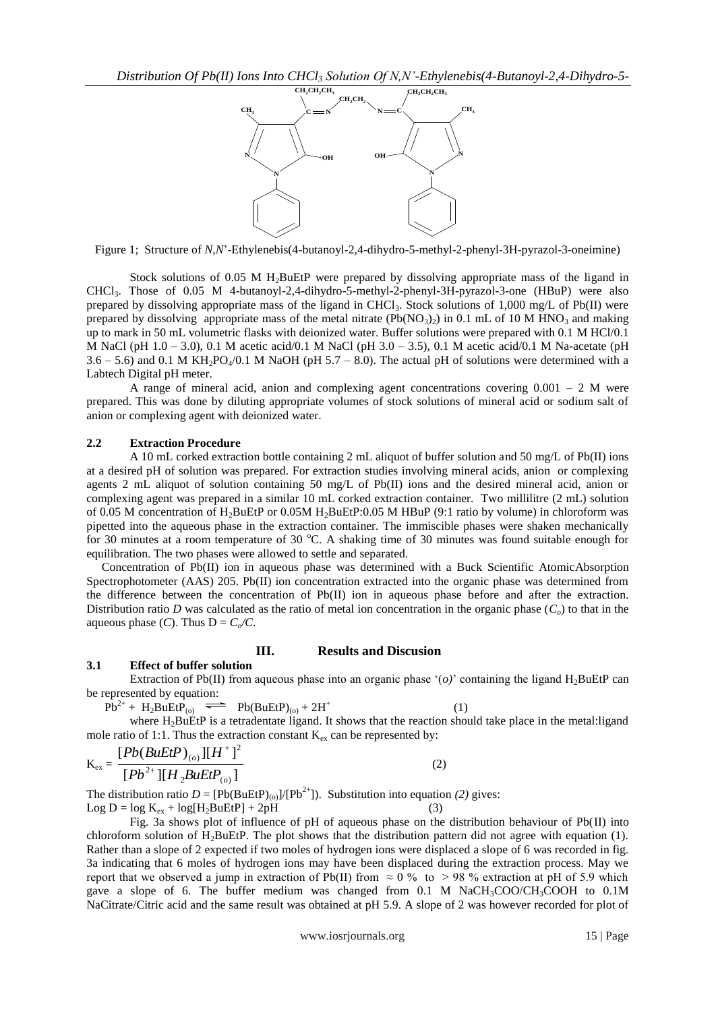

Figure 1; Structure of *N,N*"-Ethylenebis(4-butanoyl-2,4-dihydro-5-methyl-2-phenyl-3H-pyrazol-3-oneimine)

Stock solutions of 0.05 M H<sub>2</sub>BuEtP were prepared by dissolving appropriate mass of the ligand in CHCl3. Those of 0.05 M 4-butanoyl-2,4-dihydro-5-methyl-2-phenyl-3H-pyrazol-3-one (HBuP) were also prepared by dissolving appropriate mass of the ligand in CHCl<sub>3</sub>. Stock solutions of 1,000 mg/L of Pb(II) were prepared by dissolving appropriate mass of the metal nitrate  $(Pb(NO<sub>3</sub>)<sub>2</sub>)$  in 0.1 mL of 10 M HNO<sub>3</sub> and making up to mark in 50 mL volumetric flasks with deionized water. Buffer solutions were prepared with 0.1 M HCl/0.1 M NaCl (pH  $1.0 - 3.0$ ), 0.1 M acetic acid/0.1 M NaCl (pH  $3.0 - 3.5$ ), 0.1 M acetic acid/0.1 M Na-acetate (pH 3.6 – 5.6) and 0.1 M KH<sub>2</sub>PO<sub>4</sub>/0.1 M NaOH (pH 5.7 – 8.0). The actual pH of solutions were determined with a Labtech Digital pH meter.

A range of mineral acid, anion and complexing agent concentrations covering  $0.001 - 2$  M were prepared. This was done by diluting appropriate volumes of stock solutions of mineral acid or sodium salt of anion or complexing agent with deionized water.

### **2.2 Extraction Procedure**

A 10 mL corked extraction bottle containing 2 mL aliquot of buffer solution and 50 mg/L of Pb(II) ions at a desired pH of solution was prepared. For extraction studies involving mineral acids, anion or complexing agents 2 mL aliquot of solution containing 50 mg/L of Pb(II) ions and the desired mineral acid, anion or complexing agent was prepared in a similar 10 mL corked extraction container. Two millilitre (2 mL) solution of 0.05 M concentration of H2BuEtP or 0.05M H2BuEtP:0.05 M HBuP (9:1 ratio by volume) in chloroform was pipetted into the aqueous phase in the extraction container. The immiscible phases were shaken mechanically for 30 minutes at a room temperature of 30 °C. A shaking time of 30 minutes was found suitable enough for equilibration. The two phases were allowed to settle and separated.

 Concentration of Pb(II) ion in aqueous phase was determined with a Buck Scientific AtomicAbsorption Spectrophotometer (AAS) 205. Pb(II) ion concentration extracted into the organic phase was determined from the difference between the concentration of Pb(II) ion in aqueous phase before and after the extraction. Distribution ratio *D* was calculated as the ratio of metal ion concentration in the organic phase  $(C<sub>o</sub>)$  to that in the aqueous phase  $(C)$ . Thus  $D = C_0/C$ .

# **III. Results and Discusion**

# **3.1 Effect of buffer solution**

Extraction of Pb(II) from aqueous phase into an organic phase  $\langle o \rangle$  containing the ligand H<sub>2</sub>BuEtP can be represented by equation:

 $Pb^{2+}$  + H<sub>2</sub>BuEtP<sub>(o)</sub>  $\implies$  Pb(BuEtP)<sub>(o)</sub> + 2H<sup>+</sup>  $(1)$ 

where  $H_2$ BuEtP is a tetradentate ligand. It shows that the reaction should take place in the metal: ligand mole ratio of 1:1. Thus the extraction constant  $K_{ex}$  can be represented by:

$$
K_{ex} = \frac{[Pb(BuEtP)_{(o)}][H^+]^2}{[Pb^{2+}][H_2BuEtP_{(o)}]}
$$
(2)

The distribution ratio  $D = [Pb(BuEtP)_{(0)}]/[Pb^{2+}]$ . Substitution into equation (2) gives:  $Log D = log K_{ex} + log[H<sub>2</sub>BuEtP] + 2pH$  (3)

Fig. 3a shows plot of influence of pH of aqueous phase on the distribution behaviour of Pb(II) into chloroform solution of H<sub>2</sub>BuEtP. The plot shows that the distribution pattern did not agree with equation  $(1)$ . Rather than a slope of 2 expected if two moles of hydrogen ions were displaced a slope of 6 was recorded in fig. 3a indicating that 6 moles of hydrogen ions may have been displaced during the extraction process. May we report that we observed a jump in extraction of Pb(II) from  $\approx 0\%$  to > 98 % extraction at pH of 5.9 which gave a slope of 6. The buffer medium was changed from  $0.1 \text{ M NaCH}_3COO/CH_3COOH$  to  $0.1\text{ M}$ NaCitrate/Citric acid and the same result was obtained at pH 5.9. A slope of 2 was however recorded for plot of

www.iosrjournals.org 15 | Page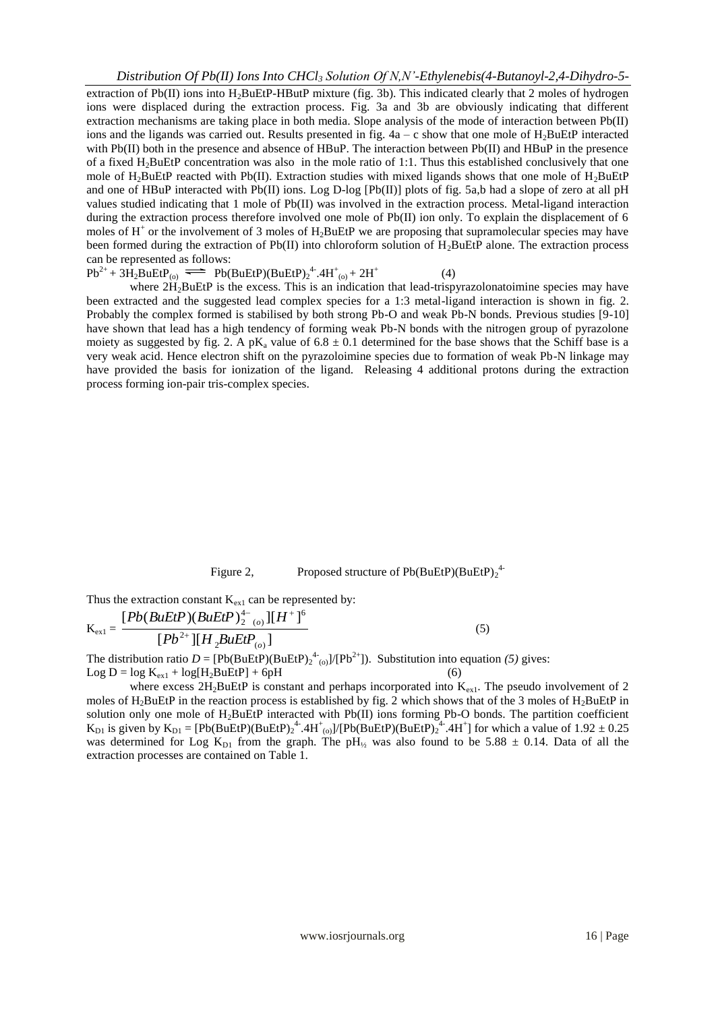extraction of Pb(II) ions into H2BuEtP-HButP mixture (fig. 3b). This indicated clearly that 2 moles of hydrogen ions were displaced during the extraction process. Fig. 3a and 3b are obviously indicating that different extraction mechanisms are taking place in both media. Slope analysis of the mode of interaction between Pb(II) ions and the ligands was carried out. Results presented in fig.  $4a - c$  show that one mole of  $H_2BuEtP$  interacted with Pb(II) both in the presence and absence of HBuP. The interaction between Pb(II) and HBuP in the presence of a fixed H2BuEtP concentration was also in the mole ratio of 1:1. Thus this established conclusively that one mole of H<sub>2</sub>BuEtP reacted with Pb(II). Extraction studies with mixed ligands shows that one mole of H<sub>2</sub>BuEtP and one of HBuP interacted with Pb(II) ions. Log D-log [Pb(II)] plots of fig. 5a,b had a slope of zero at all pH values studied indicating that 1 mole of Pb(II) was involved in the extraction process. Metal-ligand interaction during the extraction process therefore involved one mole of Pb(II) ion only. To explain the displacement of 6 moles of  $H^+$  or the involvement of 3 moles of  $H_2$ BuEtP we are proposing that supramolecular species may have been formed during the extraction of  $Pb(II)$  into chloroform solution of  $H_2BuEtP$  alone. The extraction process can be represented as follows: (4)

 $Pb^{2+} + 3H_2BuEtP_{(0)} \implies Pb(BuEtP)(BuEtP)_2^4.4H^+_{(0)} + 2H^+$ 

where  $2H_2$ BuEtP is the excess. This is an indication that lead-trispyrazolonatoimine species may have been extracted and the suggested lead complex species for a 1:3 metal-ligand interaction is shown in fig. 2. Probably the complex formed is stabilised by both strong Pb-O and weak Pb-N bonds. Previous studies [9-10] have shown that lead has a high tendency of forming weak Pb-N bonds with the nitrogen group of pyrazolone moiety as suggested by fig. 2. A pK<sub>a</sub> value of  $6.8 \pm 0.1$  determined for the base shows that the Schiff base is a very weak acid. Hence electron shift on the pyrazoloimine species due to formation of weak Pb-N linkage may have provided the basis for ionization of the ligand. Releasing 4 additional protons during the extraction process forming ion-pair tris-complex species.

# Figure 2, Proposed structure of  $Pb(BuEtP)(BuEtP)<sub>2</sub><sup>4</sup>$

Thus the extraction constant  $K_{ex1}$  can be represented by:

$$
K_{ex1} = \frac{[Pb(BuEtP)(BuEtP)^{4-}_{2}(0)][H^+]^{6}}{[Pb^{2+}][H_{2}BuEtP_{(0)}]}
$$
(5)

The distribution ratio  $D = [Pb(BuEtP)(BuEtP)<sub>2</sub><sup>4</sup><sub>(o)</sub>]/[Pb<sup>2+</sup>]$ . Substitution into equation (5) gives: Log  $D = log K_{ex1} + log[H_2BuEtP] + 6pH$ 

where excess  $2H_2BuEtP$  is constant and perhaps incorporated into  $K_{ext}$ . The pseudo involvement of 2 moles of  $H_2$ BuEtP in the reaction process is established by fig. 2 which shows that of the 3 moles of  $H_2$ BuEtP in solution only one mole of  $H_2$ BuEtP interacted with Pb(II) ions forming Pb-O bonds. The partition coefficient  $K_{D1}$  is given by  $K_{D1} = [Pb(BuEtP)(BuEtP)<sub>2</sub><sup>4</sup>$ .4H<sup>+</sup><sub>(0</sub>)]/[Pb(BuEtP)(BuEtP)<sub>2</sub><sup>4</sup>.4H<sup>+</sup>] for which a value of 1.92  $\pm$  0.25 was determined for Log K<sub>D1</sub> from the graph. The pH<sub>12</sub> was also found to be 5.88  $\pm$  0.14. Data of all the extraction processes are contained on Table 1.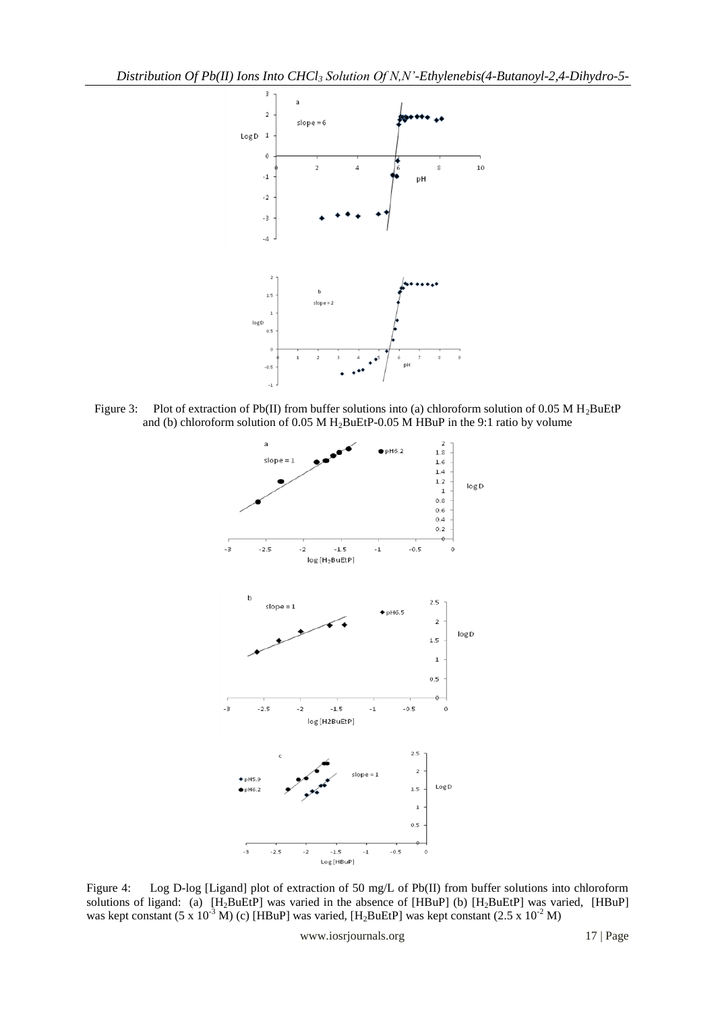

Figure 3: Plot of extraction of Pb(II) from buffer solutions into (a) chloroform solution of 0.05 M H<sub>2</sub>BuEtP and (b) chloroform solution of 0.05 M H2BuEtP-0.05 M HBuP in the 9:1 ratio by volume



Figure 4: Log D-log [Ligand] plot of extraction of 50 mg/L of Pb(II) from buffer solutions into chloroform solutions of ligand: (a)  $[H_2BuEtP]$  was varied in the absence of  $[HBuP]$  (b)  $[H_2BuEtP]$  was varied,  $[HBuP]$ was kept constant (5 x 10<sup>-3</sup> M) (c) [HBuP] was varied, [H<sub>2</sub>BuEtP] was kept constant (2.5 x 10<sup>-2</sup> M)

www.iosrjournals.org 17 | Page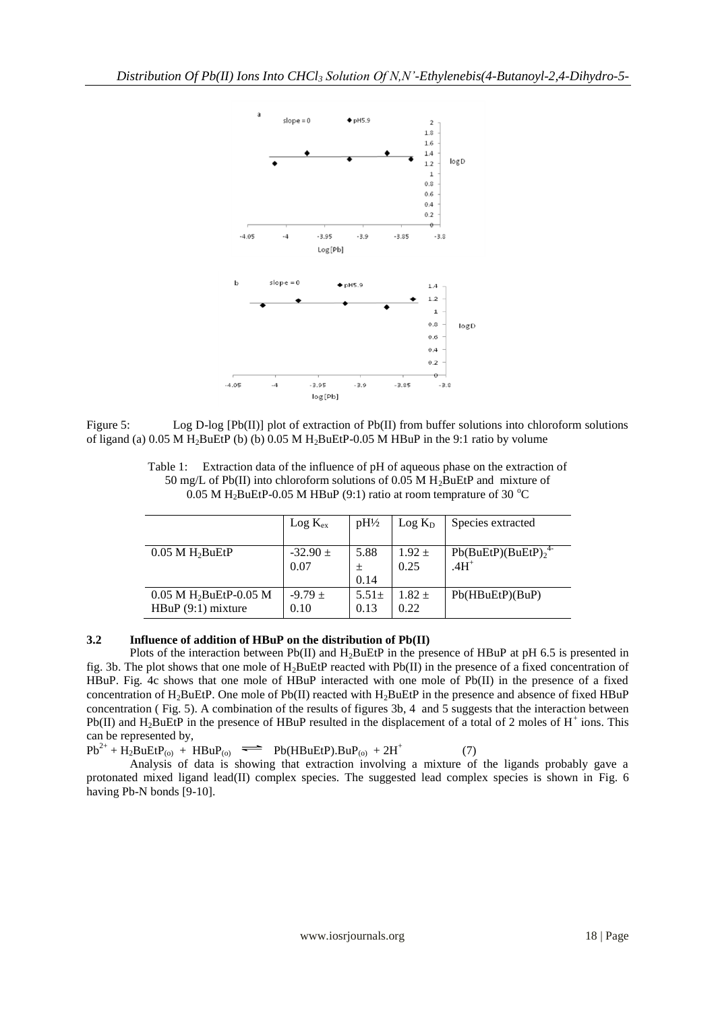

Figure 5: Log D-log [Pb(II)] plot of extraction of Pb(II) from buffer solutions into chloroform solutions of ligand (a) 0.05 M H2BuEtP (b) (b) 0.05 M H2BuEtP-0.05 M HBuP in the 9:1 ratio by volume

Table 1: Extraction data of the influence of pH of aqueous phase on the extraction of 50 mg/L of Pb(II) into chloroform solutions of 0.05 M H<sub>2</sub>BuEtP and mixture of 0.05 M H<sub>2</sub>BuEtP-0.05 M HBuP (9:1) ratio at room temprature of 30 °C

|                                                             | $Log K_{ex}$        | $pH\frac{1}{2}$   | $Log K_D$        | Species extracted    |
|-------------------------------------------------------------|---------------------|-------------------|------------------|----------------------|
| $0.05$ M $H_2$ BuEtP                                        | $-32.90 \pm 1$      | 5.88              | $1.92 \pm$       | $Pb(BuEtP)(BuEtP)24$ |
|                                                             | 0.07                |                   | 0.25             | $.4H+$               |
|                                                             |                     | 0.14              |                  |                      |
| $0.05$ M H <sub>2</sub> BuEtP-0.05 M<br>$HBuP(9:1)$ mixture | $-9.79 \pm$<br>0.10 | $5.51\pm$<br>0.13 | $1.82 +$<br>0.22 | Pb(HBuEtP)(BuP)      |

# **3.2 Influence of addition of HBuP on the distribution of Pb(II)**

Plots of the interaction between Pb(II) and H<sub>2</sub>BuEtP in the presence of HBuP at pH 6.5 is presented in fig. 3b. The plot shows that one mole of  $H_2$ BuEtP reacted with Pb(II) in the presence of a fixed concentration of HBuP. Fig. 4c shows that one mole of HBuP interacted with one mole of Pb(II) in the presence of a fixed concentration of H<sub>2</sub>BuEtP. One mole of Pb(II) reacted with H<sub>2</sub>BuEtP in the presence and absence of fixed HBuP concentration ( Fig. 5). A combination of the results of figures 3b, 4 and 5 suggests that the interaction between Pb(II) and  $H_2$ BuEtP in the presence of HBuP resulted in the displacement of a total of 2 moles of  $H^+$  ions. This can be represented by,

 $Pb^{2+} + H_2BuEtP_{(0)} + HBuP_{(0)} \implies Pb(HBuEtP).BuP_{(0)} + 2H^+$ (7)

Analysis of data is showing that extraction involving a mixture of the ligands probably gave a protonated mixed ligand lead(II) complex species. The suggested lead complex species is shown in Fig. 6 having Pb-N bonds [9-10].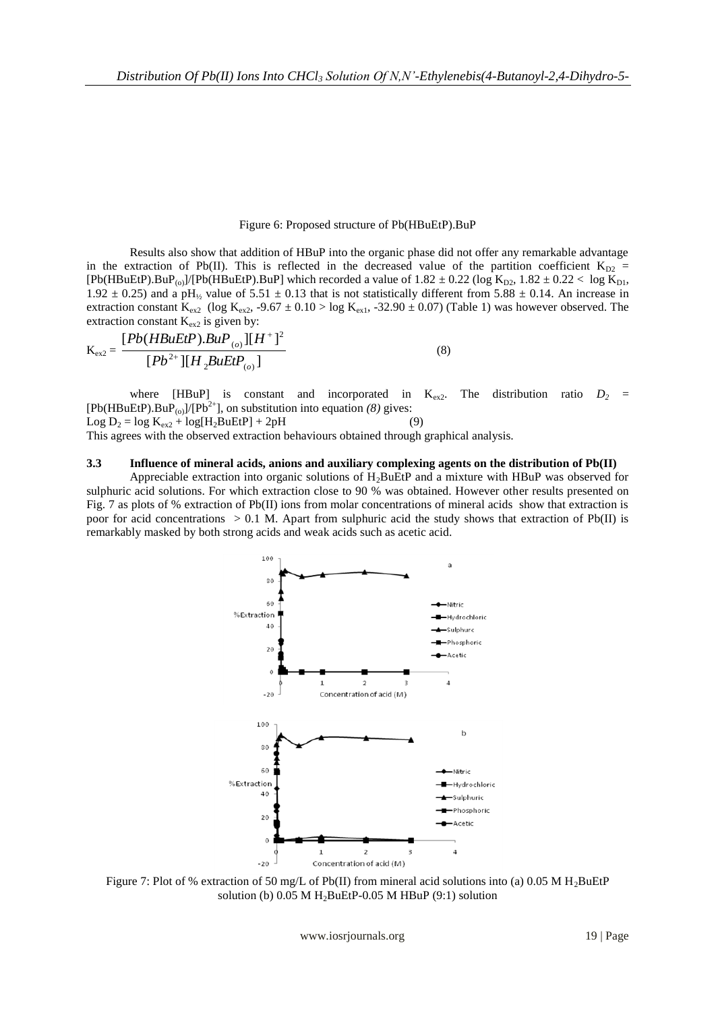### Figure 6: Proposed structure of Pb(HBuEtP).BuP

Results also show that addition of HBuP into the organic phase did not offer any remarkable advantage in the extraction of Pb(II). This is reflected in the decreased value of the partition coefficient  $K_{D2}$  =  $[Pb(HBuEtP) . BuP_{(0)}]/[Pb(HBuEtP) . BuP]$  which recorded a value of  $1.82 \pm 0.22$  (log K<sub>D2</sub>,  $1.82 \pm 0.22 <$  log K<sub>D1</sub>, 1.92  $\pm$  0.25) and a pH<sub>1/2</sub> value of 5.51  $\pm$  0.13 that is not statistically different from 5.88  $\pm$  0.14. An increase in extraction constant  $K_{ex2}$  (log  $K_{ex2}$ , -9.67  $\pm$  0.10 > log  $K_{ex1}$ , -32.90  $\pm$  0.07) (Table 1) was however observed. The extraction constant  $K_{ex2}$  is given by:

$$
K_{ex2} = \frac{[Pb(HBuEtP).BuP_{(o)}][H^+]^2}{[Pb^{2+}][H_2BuEtP_{(o)}]}
$$
(8)

where [HBuP] is constant and incorporated in  $K_{ex2}$ . The distribution ratio  $D_2$  =  $[Pb(HBuEtP).BuP<sub>(o)</sub>]/[Pb<sup>2+</sup>]$ , on substitution into equation *(8)* gives:  $Log D_2 = log K_{ex2} + log[H_2BuEtP] + 2pH$  (9)

This agrees with the observed extraction behaviours obtained through graphical analysis.

### **3.3 Influence of mineral acids, anions and auxiliary complexing agents on the distribution of Pb(II)**

Appreciable extraction into organic solutions of H2BuEtP and a mixture with HBuP was observed for sulphuric acid solutions. For which extraction close to 90 % was obtained. However other results presented on Fig. 7 as plots of % extraction of Pb(II) ions from molar concentrations of mineral acids show that extraction is poor for acid concentrations  $> 0.1$  M. Apart from sulphuric acid the study shows that extraction of Pb(II) is remarkably masked by both strong acids and weak acids such as acetic acid.



Figure 7: Plot of % extraction of 50 mg/L of Pb(II) from mineral acid solutions into (a) 0.05 M H<sub>2</sub>BuEtP solution (b)  $0.05$  M H<sub>2</sub>BuEtP-0.05 M HBuP (9:1) solution

www.iosrjournals.org 19 | Page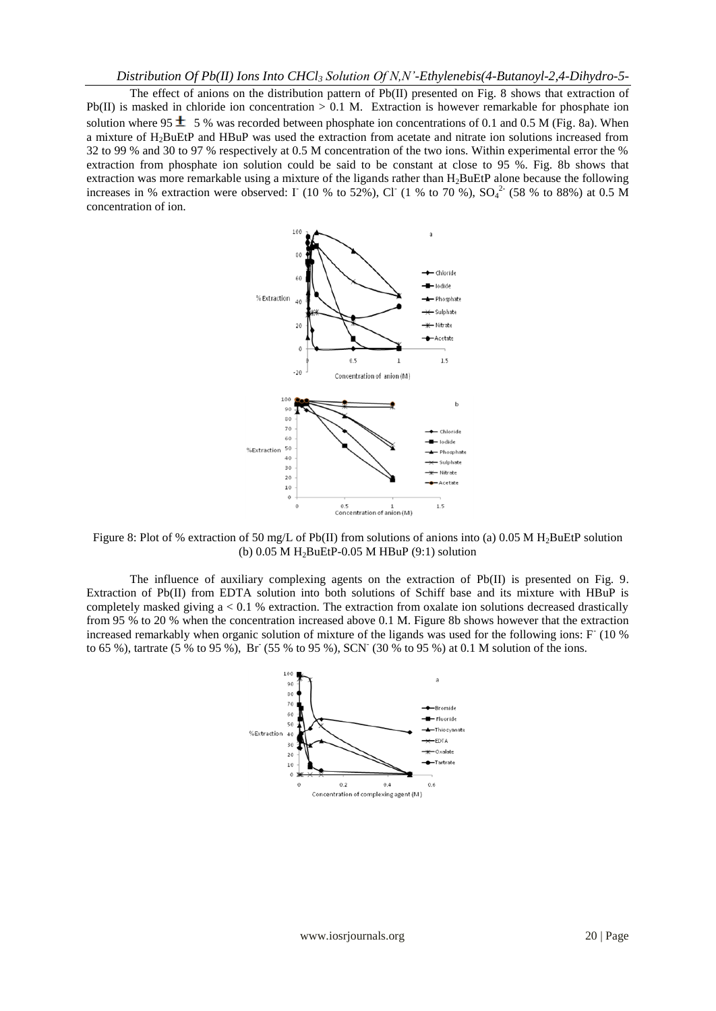The effect of anions on the distribution pattern of Pb(II) presented on Fig. 8 shows that extraction of Pb(II) is masked in chloride ion concentration  $> 0.1$  M. Extraction is however remarkable for phosphate ion solution where 95  $\pm$  5 % was recorded between phosphate ion concentrations of 0.1 and 0.5 M (Fig. 8a). When a mixture of H2BuEtP and HBuP was used the extraction from acetate and nitrate ion solutions increased from 32 to 99 % and 30 to 97 % respectively at 0.5 M concentration of the two ions. Within experimental error the % extraction from phosphate ion solution could be said to be constant at close to 95 %. Fig. 8b shows that extraction was more remarkable using a mixture of the ligands rather than H<sub>2</sub>BuEtP alone because the following increases in % extraction were observed:  $\Gamma$  (10 % to 52%), Cl<sup>-</sup> (1 % to 70 %), SO<sub>4</sub><sup>2</sup> (58 % to 88%) at 0.5 M concentration of ion.



Figure 8: Plot of % extraction of 50 mg/L of Pb(II) from solutions of anions into (a) 0.05 M H2BuEtP solution (b)  $0.05$  M H<sub>2</sub>BuEtP-0.05 M HBuP (9:1) solution

The influence of auxiliary complexing agents on the extraction of Pb(II) is presented on Fig. 9. Extraction of Pb(II) from EDTA solution into both solutions of Schiff base and its mixture with HBuP is completely masked giving a < 0.1 % extraction. The extraction from oxalate ion solutions decreased drastically from 95 % to 20 % when the concentration increased above 0.1 M. Figure 8b shows however that the extraction increased remarkably when organic solution of mixture of the ligands was used for the following ions: F (10 % to 65 %), tartrate (5 % to 95 %), Br (55 % to 95 %), SCN (30 % to 95 %) at 0.1 M solution of the ions.